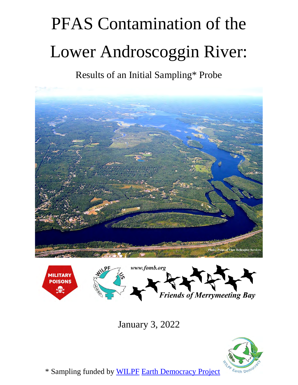# PFAS Contamination of the Lower Androscoggin River:

Results of an Initial Sampling\* Probe





January 3, 2022



\* Sampling funded by [WILPF](https://wilpfus.org/) [Earth Democracy Project](https://wilpfus.org/our-work/earth-democracy-0)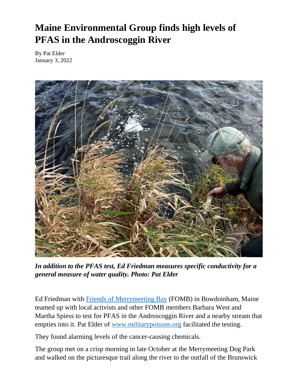# **Maine Environmental Group finds high levels of PFAS in the Androscoggin River**

By Pat Elder January 3, 2022



*In addition to the PFAS test, Ed Friedman measures specific conductivity for a general measure of water quality. Photo: Pat Elder*

Ed Friedman with [Friends of Merrymeeting Bay](http://www.fomb.org/) (FOMB) in Bowdoinham, Maine teamed up with local activists and other FOMB members Barbara West and Martha Spiess to test for PFAS in the Androscoggin River and a nearby stream that empties into it. Pat Elder of [www.militarypoisons.org](http://www.militarypoisons.org/) facilitated the testing.

They found alarming levels of the cancer-causing chemicals.

The group met on a crisp morning in late October at the Merrymeeting Dog Park and walked on the picturesque trail along the river to the outfall of the Brunswick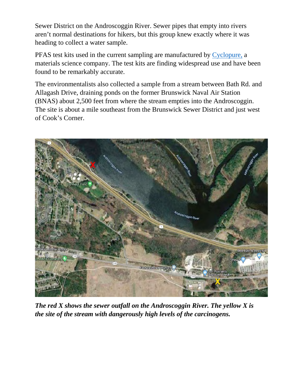Sewer District on the Androscoggin River. Sewer pipes that empty into rivers aren't normal destinations for hikers, but this group knew exactly where it was heading to collect a water sample.

PFAS test kits used in the current sampling are manufactured by [Cyclopure,](https://cyclopure.com/pfas/) a materials science company. The test kits are finding widespread use and have been found to be remarkably accurate.

The environmentalists also collected a sample from a stream between Bath Rd. and Allagash Drive, draining ponds on the former Brunswick Naval Air Station (BNAS) about 2,500 feet from where the stream empties into the Androscoggin. The site is about a mile southeast from the Brunswick Sewer District and just west of Cook's Corner.



*The red X shows the sewer outfall on the Androscoggin River. The yellow X is the site of the stream with dangerously high levels of the carcinogens.*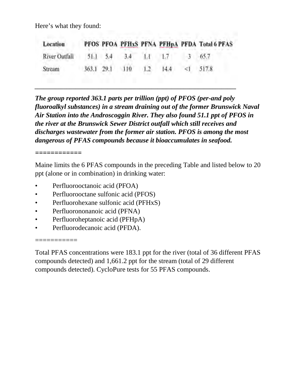Here's what they found:

| <b>Location</b> |  |                         |                      | PFOS PFOA PFHxS PFNA PFHpA PFDA Total 6 PFAS |
|-----------------|--|-------------------------|----------------------|----------------------------------------------|
| River Outfall   |  |                         | 51.1 5.4 3.4 1.1 1.7 | 65.7                                         |
| Stream          |  | 363.1 29.1 110 1.2 14.4 |                      | $\leq$ 517.8                                 |

*\_\_\_\_\_\_\_\_\_\_\_\_\_\_\_\_\_\_\_\_\_\_\_\_\_\_\_\_\_\_\_\_\_\_\_\_\_\_\_\_\_\_\_\_\_\_\_\_\_\_\_\_\_\_\_\_\_\_\_\_\_\_\_\_\_\_\_\_\_*

*The group reported 363.1 parts per trillion (ppt) of PFOS (per-and poly fluoroalkyl substances) in a stream draining out of the former Brunswick Naval Air Station into the Androscoggin River. They also found 51.1 ppt of PFOS in the river at the Brunswick Sewer District outfall which still receives and discharges wastewater from the former air station. PFOS is among the most dangerous of PFAS compounds because it bioaccumulates in seafood.*

*============*

Maine limits the 6 PFAS compounds in the preceding Table and listed below to 20 ppt (alone or in combination) in drinking water:

- Perfluorooctanoic acid (PFOA)
- Perfluorooctane sulfonic acid (PFOS)
- Perfluorohexane sulfonic acid (PFHxS)
- Perfluorononanoic acid (PFNA)
- Perfluoroheptanoic acid (PFHpA)
- Perfluorodecanoic acid (PFDA).

### ===========

Total PFAS concentrations were 183.1 ppt for the river (total of 36 different PFAS compounds detected) and 1,661.2 ppt for the stream (total of 29 different compounds detected). CycloPure tests for 55 PFAS compounds.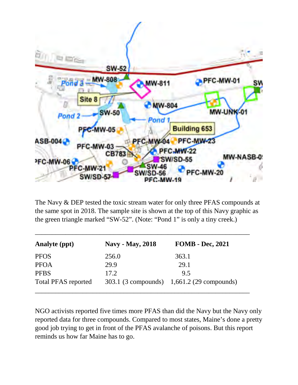

The Navy & DEP tested the toxic stream water for only three PFAS compounds at the same spot in 2018. The sample site is shown at the top of this Navy graphic as the green triangle marked "SW-52". (Note: "Pond 1" is only a tiny creek.)

| <b>Analyte (ppt)</b>       | Navy - May, 2018 | <b>FOMB</b> - Dec, 2021                    |
|----------------------------|------------------|--------------------------------------------|
| <b>PFOS</b>                | 256.0            | 363.1                                      |
| <b>PFOA</b>                | 29.9             | 29.1                                       |
| <b>PFBS</b>                | 17.2             | 9.5                                        |
| <b>Total PFAS reported</b> |                  | 303.1 (3 compounds) 1,661.2 (29 compounds) |

NGO activists reported five times more PFAS than did the Navy but the Navy only reported data for three compounds. Compared to most states, Maine's done a pretty good job trying to get in front of the PFAS avalanche of poisons. But this report reminds us how far Maine has to go.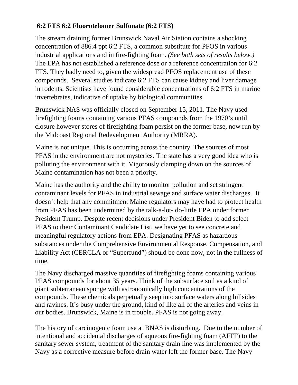# **6:2 FTS 6:2 Fluorotelomer Sulfonate (6:2 FTS)**

The stream draining former Brunswick Naval Air Station contains a shocking concentration of 886.4 ppt 6:2 FTS, a common substitute for PFOS in various industrial applications and in fire-fighting foam. *(See both sets of results below.)* The EPA has not established a reference dose or a reference concentration for 6:2 FTS. They badly need to, given the widespread PFOS replacement use of these compounds. Several studies indicate 6:2 FTS can cause kidney and liver damage in rodents. Scientists have found considerable concentrations of 6:2 FTS in marine invertebrates, indicative of uptake by biological communities.

Brunswick NAS was officially closed on September 15, 2011. The Navy used firefighting foams containing various PFAS compounds from the 1970's until closure however stores of firefighting foam persist on the former base, now run by the Midcoast Regional Redevelopment Authority (MRRA).

Maine is not unique. This is occurring across the country. The sources of most PFAS in the environment are not mysteries. The state has a very good idea who is polluting the environment with it. Vigorously clamping down on the sources of Maine contamination has not been a priority.

Maine has the authority and the ability to monitor pollution and set stringent contaminant levels for PFAS in industrial sewage and surface water discharges. It doesn't help that any commitment Maine regulators may have had to protect health from PFAS has been undermined by the talk-a-lot- do-little EPA under former President Trump. Despite recent decisions under President Biden to add select PFAS to their Contaminant Candidate List, we have yet to see concrete and meaningful regulatory actions from EPA. Designating PFAS as hazardous substances under the Comprehensive Environmental Response, Compensation, and Liability Act (CERCLA or "Superfund") should be done now, not in the fullness of time.

The Navy discharged massive quantities of firefighting foams containing various PFAS compounds for about 35 years. Think of the subsurface soil as a kind of giant subterranean sponge with astronomically high concentrations of the compounds. These chemicals perpetually seep into surface waters along hillsides and ravines. It's busy under the ground, kind of like all of the arteries and veins in our bodies. Brunswick, Maine is in trouble. PFAS is not going away.

The history of carcinogenic foam use at BNAS is disturbing. Due to the number of intentional and accidental discharges of aqueous fire-fighting foam (AFFF) to the sanitary sewer system, treatment of the sanitary drain line was implemented by the Navy as a corrective measure before drain water left the former base. The Navy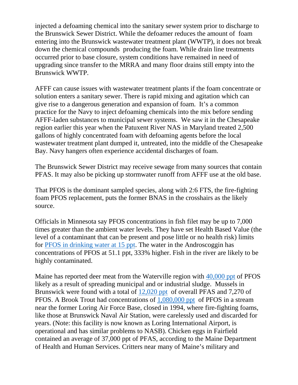injected a defoaming chemical into the sanitary sewer system prior to discharge to the Brunswick Sewer District. While the defoamer reduces the amount of foam entering into the Brunswick wastewater treatment plant (WWTP), it does not break down the chemical compounds producing the foam. While drain line treatments occurred prior to base closure, system conditions have remained in need of upgrading since transfer to the MRRA and many floor drains still empty into the Brunswick WWTP.

AFFF can cause issues with wastewater treatment plants if the foam concentrate or solution enters a sanitary sewer. There is rapid mixing and agitation which can give rise to a dangerous generation and expansion of foam. It's a common practice for the Navy to inject defoaming chemicals into the mix before sending AFFF-laden substances to municipal sewer systems. We saw it in the Chesapeake region earlier this year when the Patuxent River NAS in Maryland treated 2,500 gallons of highly concentrated foam with defoaming agents before the local wastewater treatment plant dumped it, untreated, into the middle of the Chesapeake Bay. Navy hangers often experience accidental discharges of foam.

The Brunswick Sewer District may receive sewage from many sources that contain PFAS. It may also be picking up stormwater runoff from AFFF use at the old base.

That PFOS is the dominant sampled species, along with 2:6 FTS, the fire-fighting foam PFOS replacement, puts the former BNAS in the crosshairs as the likely source.

Officials in Minnesota say PFOS concentrations in fish filet may be up to 7,000 times greater than the ambient water levels. They have set Health Based Value (the level of a contaminant that can be present and pose little or no health risk) limits for [PFOS in drinking water at 15 ppt.](https://www.health.state.mn.us/communities/environment/hazardous/topics/pfcs.html#safelevels) The water in the Androscoggin has concentrations of PFOS at 51.1 ppt, 333% higher. Fish in the river are likely to be highly contaminated.

Maine has reported deer meat from the Waterville region with [40,000 ppt](https://www.maine.gov/ifw/hunting-trapping/hunting-resources/deer/index.html) of PFOS likely as a result of spreading municipal and or industrial sludge. Mussels in Brunswick were found with a total of [12,020 ppt](http://cybrary.fomb.org/pages/PFAS-Brunswick,%20ME%20%20Mussel%20study%20David%20S.%20Page%202020.pdf) of overall PFAS and 7,270 of PFOS. A Brook Trout had concentrations of [1,080,000 ppt](http://cybrary.fomb.org/pages/PFAS-Maine%20Fish%20Tissue%20Sampling%20Levels.xlsx) of PFOS in a stream near the former Loring Air Force Base, closed in 1994, where fire-fighting foams, like those at Brunswick Naval Air Station, were carelessly used and discarded for years. (Note: this facility is now known as Loring International Airport, is operational and has similar problems to NASB). Chicken eggs in Fairfield contained an average of 37,000 ppt of PFAS, according to the Maine Department of Health and Human Services. Critters near many of Maine's military and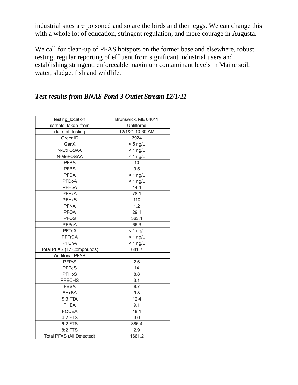industrial sites are poisoned and so are the birds and their eggs. We can change this with a whole lot of education, stringent regulation, and more courage in Augusta.

We call for clean-up of PFAS hotspots on the former base and elsewhere, robust testing, regular reporting of effluent from significant industrial users and establishing stringent, enforceable maximum contaminant levels in Maine soil, water, sludge, fish and wildlife.

### *Test results from BNAS Pond 3 Outlet Stream 12/1/21*

| testing_location                 | Brunswick, ME 04011 |  |  |
|----------------------------------|---------------------|--|--|
| sample taken from                | Unfiltered          |  |  |
| date of testing                  | 12/1/21 10:30 AM    |  |  |
| Order ID                         | 3924                |  |  |
| GenX                             | $<$ 5 ng/L          |  |  |
| N-EtFOSAA                        | $< 1$ ng/L          |  |  |
| N-MeFOSAA                        | $< 1$ ng/L          |  |  |
| <b>PFBA</b>                      | 10                  |  |  |
| <b>PFBS</b>                      | 9.5                 |  |  |
| <b>PFDA</b>                      | $< 1$ ng/L          |  |  |
| PFDoA                            | $< 1$ ng/L          |  |  |
| PFHpA                            | 14.4                |  |  |
| <b>PFHxA</b>                     | 78.1                |  |  |
| <b>PFHxS</b>                     | 110                 |  |  |
| <b>PFNA</b>                      | 1.2                 |  |  |
| <b>PFOA</b>                      | 29.1                |  |  |
| <b>PFOS</b>                      | 363.1               |  |  |
| <b>PFPeA</b>                     | 66.3                |  |  |
| PFTeA                            | $< 1$ ng/L          |  |  |
| <b>PFTrDA</b>                    | $\leq 1$ ng/L       |  |  |
| PFUnA                            | $<$ 1 ng/L          |  |  |
| Total PFAS (17 Compounds)        | 681.7               |  |  |
| <b>Additonal PFAS</b>            |                     |  |  |
| <b>PFPrS</b>                     | 2.6                 |  |  |
| <b>PFPeS</b>                     | 14                  |  |  |
| <b>PFHpS</b>                     | 8.8                 |  |  |
| <b>PFECHS</b>                    | 3.1                 |  |  |
| <b>FBSA</b>                      | 8.7                 |  |  |
| <b>FHxSA</b>                     | 9.8                 |  |  |
| 5:3 FTA                          | 12.4                |  |  |
| <b>FHEA</b>                      | 9.1                 |  |  |
| <b>FOUEA</b>                     | 18.1                |  |  |
| 4:2 FTS                          | 3.6                 |  |  |
| 6:2 FTS                          | 886.4               |  |  |
| 8:2 FTS                          | 2.9                 |  |  |
| <b>Total PFAS (All Detected)</b> | 1661.2              |  |  |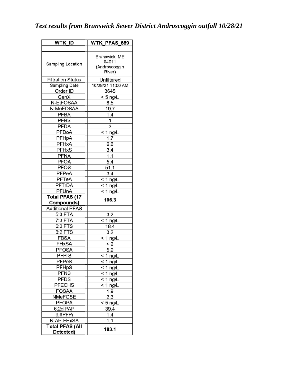| WTK ID                              | WTK PFAS 669                                      |  |  |
|-------------------------------------|---------------------------------------------------|--|--|
|                                     |                                                   |  |  |
| Sampling Location                   | Brunswick, ME<br>04011<br>(Androscoggin<br>River) |  |  |
| <b>Filtration Status</b>            | Unfiltered                                        |  |  |
| <b>Sampling Date</b>                | 10/28/21 11:00 AM                                 |  |  |
| Order ID                            | 3645                                              |  |  |
| GenX                                | $<$ 5 ng/L                                        |  |  |
| N-EtFOSAA                           | 8.5                                               |  |  |
| N-MeFOSAA                           | 19.7                                              |  |  |
| <b>PFBA</b>                         | 1.4                                               |  |  |
| <b>PFBS</b>                         | 1                                                 |  |  |
| <b>PFDA</b>                         | 3                                                 |  |  |
| PFDoA                               | $< 1$ ng/L                                        |  |  |
| PFHpA                               | 1.7                                               |  |  |
| PFHxA                               | 6.6                                               |  |  |
| PFHxS                               | 3.4                                               |  |  |
| <b>PFNA</b>                         | 1.1                                               |  |  |
| <b>PFOA</b>                         | 5.4                                               |  |  |
| <b>PFOS</b>                         | 51.1                                              |  |  |
| PFPeA                               | 3.4                                               |  |  |
| PFTeA                               | $<$ 1 ng/L                                        |  |  |
| <b>PFTrDA</b>                       | $<$ 1 ng/L                                        |  |  |
| PFUnA                               | $<$ 1 ng/L                                        |  |  |
| <b>Total PFAS (17</b>               | 106.3                                             |  |  |
| Compounds)                          |                                                   |  |  |
| <b>Additional PFAS</b>              |                                                   |  |  |
| 5:3 FTA                             | 3.2                                               |  |  |
| 7:3 FTA                             | $< 1$ ng/L                                        |  |  |
| 6:2 FTS                             | 18.4                                              |  |  |
| 8:2 FTS                             | 3.2                                               |  |  |
| <b>FBSA</b>                         | $< 1$ ng/L                                        |  |  |
| <b>FHxSA</b>                        | $\leq$ 2                                          |  |  |
| <b>PFOSA</b>                        | 5.9                                               |  |  |
| <b>PFPrS</b>                        | $< 1$ ng/L                                        |  |  |
| PFPeS                               | $< 1$ ng/L                                        |  |  |
| <b>PFHpS</b>                        | $< 1$ ng/L                                        |  |  |
| <b>PFNS</b>                         | $< 1$ ng/L                                        |  |  |
| <b>PFDS</b>                         | $< 1$ ng/L                                        |  |  |
| PFECHS                              | $< 1$ ng/L                                        |  |  |
| <b>FOSAA</b>                        | 1.9                                               |  |  |
| NMeFOSE                             | 2.3                                               |  |  |
| <b>PFOPA</b>                        | $<$ 5 ng/L                                        |  |  |
| 6:2diPAP                            | 39.4                                              |  |  |
| 6:6PFPi                             | 1.4                                               |  |  |
| N-AP-FHxSA                          | 1.1                                               |  |  |
| <b>Total PFAS (All</b><br>Detected) | 183.1                                             |  |  |